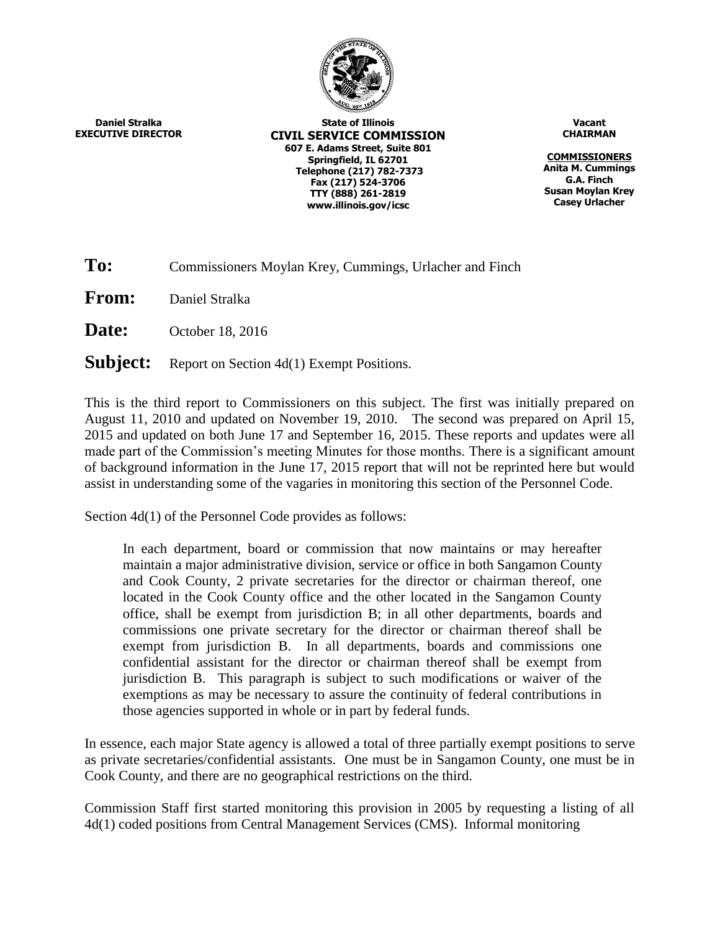

**Daniel Stralka EXECUTIVE DIRECTOR**

**State of Illinois CIVIL SERVICE COMMISSION 607 E. Adams Street, Suite 801 Springfield, IL 62701 Telephone (217) 782-7373 Fax (217) 524-3706 TTY (888) 261-2819 www.illinois.gov/icsc**

**Vacant CHAIRMAN**

**COMMISSIONERS Anita M. Cummings G.A. Finch Susan Moylan Krey Casey Urlacher**

**From:** Daniel Stralka

**Date:** October 18, 2016

**Subject:** Report on Section 4d(1) Exempt Positions.

This is the third report to Commissioners on this subject. The first was initially prepared on August 11, 2010 and updated on November 19, 2010. The second was prepared on April 15, 2015 and updated on both June 17 and September 16, 2015. These reports and updates were all made part of the Commission's meeting Minutes for those months. There is a significant amount of background information in the June 17, 2015 report that will not be reprinted here but would assist in understanding some of the vagaries in monitoring this section of the Personnel Code.

Section 4d(1) of the Personnel Code provides as follows:

In each department, board or commission that now maintains or may hereafter maintain a major administrative division, service or office in both Sangamon County and Cook County, 2 private secretaries for the director or chairman thereof, one located in the Cook County office and the other located in the Sangamon County office, shall be exempt from jurisdiction B; in all other departments, boards and commissions one private secretary for the director or chairman thereof shall be exempt from jurisdiction B. In all departments, boards and commissions one confidential assistant for the director or chairman thereof shall be exempt from jurisdiction B. This paragraph is subject to such modifications or waiver of the exemptions as may be necessary to assure the continuity of federal contributions in those agencies supported in whole or in part by federal funds.

In essence, each major State agency is allowed a total of three partially exempt positions to serve as private secretaries/confidential assistants. One must be in Sangamon County, one must be in Cook County, and there are no geographical restrictions on the third.

Commission Staff first started monitoring this provision in 2005 by requesting a listing of all 4d(1) coded positions from Central Management Services (CMS). Informal monitoring